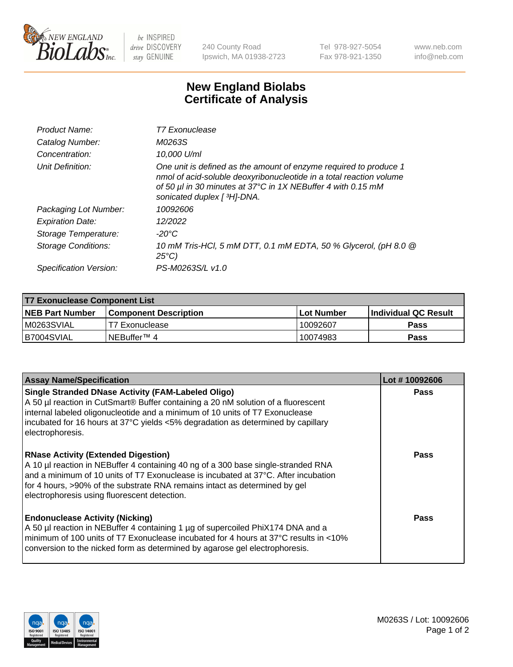

 $be$  INSPIRED drive DISCOVERY stay GENUINE

240 County Road Ipswich, MA 01938-2723 Tel 978-927-5054 Fax 978-921-1350 www.neb.com info@neb.com

## **New England Biolabs Certificate of Analysis**

| Product Name:              | T7 Exonuclease                                                                                                                                                                                                                          |
|----------------------------|-----------------------------------------------------------------------------------------------------------------------------------------------------------------------------------------------------------------------------------------|
| Catalog Number:            | M0263S                                                                                                                                                                                                                                  |
| Concentration:             | 10,000 U/ml                                                                                                                                                                                                                             |
| Unit Definition:           | One unit is defined as the amount of enzyme required to produce 1<br>nmol of acid-soluble deoxyribonucleotide in a total reaction volume<br>of 50 µl in 30 minutes at 37°C in 1X NEBuffer 4 with 0.15 mM<br>sonicated duplex [ 3H]-DNA. |
| Packaging Lot Number:      | 10092606                                                                                                                                                                                                                                |
| <b>Expiration Date:</b>    | 12/2022                                                                                                                                                                                                                                 |
| Storage Temperature:       | -20°C                                                                                                                                                                                                                                   |
| <b>Storage Conditions:</b> | 10 mM Tris-HCl, 5 mM DTT, 0.1 mM EDTA, 50 % Glycerol, (pH 8.0 @<br>$25^{\circ}C$                                                                                                                                                        |
| Specification Version:     | PS-M0263S/L v1.0                                                                                                                                                                                                                        |

| <b>T7 Exonuclease Component List</b> |                              |                   |                             |  |  |
|--------------------------------------|------------------------------|-------------------|-----------------------------|--|--|
| <b>NEB Part Number</b>               | <b>Component Description</b> | <b>Lot Number</b> | <b>Individual QC Result</b> |  |  |
| M0263SVIAL                           | T7 Exonuclease               | 10092607          | <b>Pass</b>                 |  |  |
| B7004SVIAL                           | INEBuffer™ 4                 | 10074983          | Pass                        |  |  |

| <b>Assay Name/Specification</b>                                                                                                                                                                                                                                                                                                                     | Lot #10092606 |
|-----------------------------------------------------------------------------------------------------------------------------------------------------------------------------------------------------------------------------------------------------------------------------------------------------------------------------------------------------|---------------|
| <b>Single Stranded DNase Activity (FAM-Labeled Oligo)</b><br>A 50 µl reaction in CutSmart® Buffer containing a 20 nM solution of a fluorescent<br>internal labeled oligonucleotide and a minimum of 10 units of T7 Exonuclease<br>incubated for 16 hours at 37°C yields <5% degradation as determined by capillary<br>electrophoresis.              | Pass          |
| <b>RNase Activity (Extended Digestion)</b><br>A 10 µl reaction in NEBuffer 4 containing 40 ng of a 300 base single-stranded RNA<br>and a minimum of 10 units of T7 Exonuclease is incubated at 37°C. After incubation<br>for 4 hours, >90% of the substrate RNA remains intact as determined by gel<br>electrophoresis using fluorescent detection. | Pass          |
| <b>Endonuclease Activity (Nicking)</b><br>A 50 µl reaction in NEBuffer 4 containing 1 µg of supercoiled PhiX174 DNA and a<br>minimum of 100 units of T7 Exonuclease incubated for 4 hours at 37°C results in <10%<br>conversion to the nicked form as determined by agarose gel electrophoresis.                                                    | Pass          |